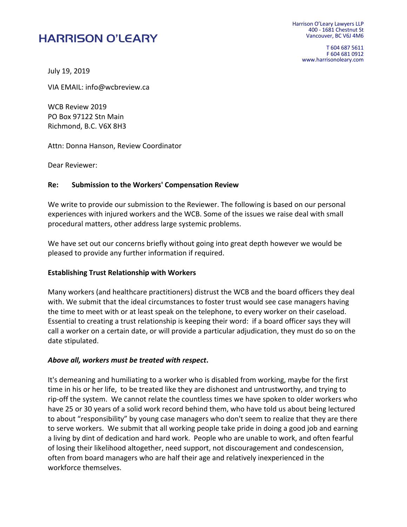# **HARRISON O'LEARY**

Harrison O'Leary Lawyers LLP 400 - 1681 Chestnut St Vancouver, BC V6J 4M6

> T 604 687 5611 F 604 681 0912 www.harrisonoleary.com

July 19, 2019

VIA EMAIL: info@wcbreview.ca

WCB Review 2019 PO Box 97122 Stn Main Richmond, B.C. V6X 8H3

Attn: Donna Hanson, Review Coordinator

Dear Reviewer:

#### **Re: Submission to the Workers' Compensation Review**

We write to provide our submission to the Reviewer. The following is based on our personal experiences with injured workers and the WCB. Some of the issues we raise deal with small procedural matters, other address large systemic problems.

We have set out our concerns briefly without going into great depth however we would be pleased to provide any further information if required.

#### **Establishing Trust Relationship with Workers**

Many workers (and healthcare practitioners) distrust the WCB and the board officers they deal with. We submit that the ideal circumstances to foster trust would see case managers having the time to meet with or at least speak on the telephone, to every worker on their caseload. Essential to creating a trust relationship is keeping their word: if a board officer says they will call a worker on a certain date, or will provide a particular adjudication, they must do so on the date stipulated.

#### *Above all, workers must be treated with respect***.**

It's demeaning and humiliating to a worker who is disabled from working, maybe for the first time in his or her life, to be treated like they are dishonest and untrustworthy, and trying to rip-off the system. We cannot relate the countless times we have spoken to older workers who have 25 or 30 years of a solid work record behind them, who have told us about being lectured to about "responsibility" by young case managers who don't seem to realize that they are there to serve workers. We submit that all working people take pride in doing a good job and earning a living by dint of dedication and hard work. People who are unable to work, and often fearful of losing their likelihood altogether, need support, not discouragement and condescension, often from board managers who are half their age and relatively inexperienced in the workforce themselves.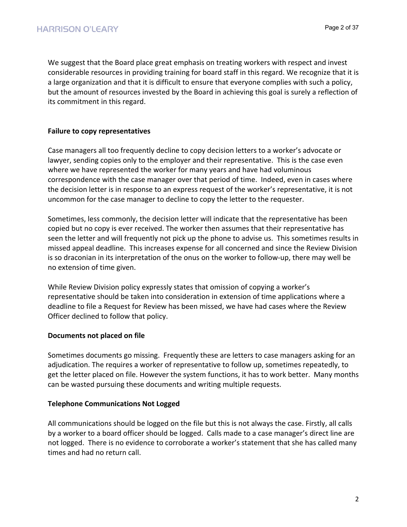We suggest that the Board place great emphasis on treating workers with respect and invest considerable resources in providing training for board staff in this regard. We recognize that it is a large organization and that it is difficult to ensure that everyone complies with such a policy, but the amount of resources invested by the Board in achieving this goal is surely a reflection of its commitment in this regard.

# **Failure to copy representatives**

Case managers all too frequently decline to copy decision letters to a worker's advocate or lawyer, sending copies only to the employer and their representative. This is the case even where we have represented the worker for many years and have had voluminous correspondence with the case manager over that period of time. Indeed, even in cases where the decision letter is in response to an express request of the worker's representative, it is not uncommon for the case manager to decline to copy the letter to the requester.

Sometimes, less commonly, the decision letter will indicate that the representative has been copied but no copy is ever received. The worker then assumes that their representative has seen the letter and will frequently not pick up the phone to advise us. This sometimes results in missed appeal deadline. This increases expense for all concerned and since the Review Division is so draconian in its interpretation of the onus on the worker to follow-up, there may well be no extension of time given.

While Review Division policy expressly states that omission of copying a worker's representative should be taken into consideration in extension of time applications where a deadline to file a Request for Review has been missed, we have had cases where the Review Officer declined to follow that policy.

## **Documents not placed on file**

Sometimes documents go missing. Frequently these are letters to case managers asking for an adjudication. The requires a worker of representative to follow up, sometimes repeatedly, to get the letter placed on file. However the system functions, it has to work better. Many months can be wasted pursuing these documents and writing multiple requests.

# **Telephone Communications Not Logged**

All communications should be logged on the file but this is not always the case. Firstly, all calls by a worker to a board officer should be logged. Calls made to a case manager's direct line are not logged. There is no evidence to corroborate a worker's statement that she has called many times and had no return call.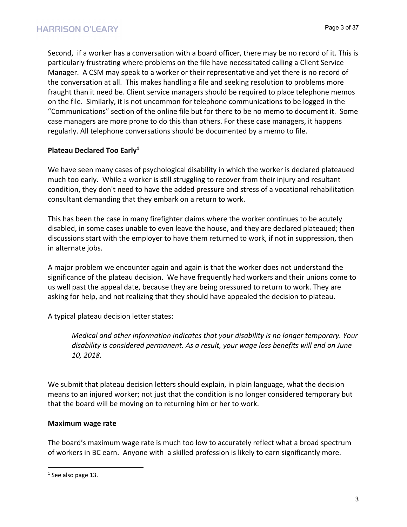Second, if a worker has a conversation with a board officer, there may be no record of it. This is particularly frustrating where problems on the file have necessitated calling a Client Service Manager. A CSM may speak to a worker or their representative and yet there is no record of the conversation at all. This makes handling a file and seeking resolution to problems more fraught than it need be. Client service managers should be required to place telephone memos on the file. Similarly, it is not uncommon for telephone communications to be logged in the "Communications" section of the online file but for there to be no memo to document it. Some case managers are more prone to do this than others. For these case managers, it happens regularly. All telephone conversations should be documented by a memo to file.

# **Plateau Declared Too Early1**

We have seen many cases of psychological disability in which the worker is declared plateaued much too early. While a worker is still struggling to recover from their injury and resultant condition, they don't need to have the added pressure and stress of a vocational rehabilitation consultant demanding that they embark on a return to work.

This has been the case in many firefighter claims where the worker continues to be acutely disabled, in some cases unable to even leave the house, and they are declared plateaued; then discussions start with the employer to have them returned to work, if not in suppression, then in alternate jobs.

A major problem we encounter again and again is that the worker does not understand the significance of the plateau decision. We have frequently had workers and their unions come to us well past the appeal date, because they are being pressured to return to work. They are asking for help, and not realizing that they should have appealed the decision to plateau.

A typical plateau decision letter states:

*Medical and other information indicates that your disability is no longer temporary. Your disability is considered permanent. As a result, your wage loss benefits will end on June 10, 2018.*

We submit that plateau decision letters should explain, in plain language, what the decision means to an injured worker; not just that the condition is no longer considered temporary but that the board will be moving on to returning him or her to work.

## **Maximum wage rate**

The board's maximum wage rate is much too low to accurately reflect what a broad spectrum of workers in BC earn. Anyone with a skilled profession is likely to earn significantly more.

 $<sup>1</sup>$  See also page 13.</sup>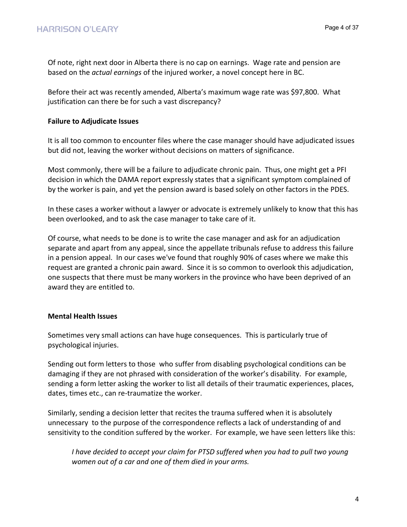Of note, right next door in Alberta there is no cap on earnings. Wage rate and pension are based on the *actual earnings* of the injured worker, a novel concept here in BC.

Before their act was recently amended, Alberta's maximum wage rate was \$97,800. What justification can there be for such a vast discrepancy?

## **Failure to Adjudicate Issues**

It is all too common to encounter files where the case manager should have adjudicated issues but did not, leaving the worker without decisions on matters of significance.

Most commonly, there will be a failure to adjudicate chronic pain. Thus, one might get a PFI decision in which the DAMA report expressly states that a significant symptom complained of by the worker is pain, and yet the pension award is based solely on other factors in the PDES.

In these cases a worker without a lawyer or advocate is extremely unlikely to know that this has been overlooked, and to ask the case manager to take care of it.

Of course, what needs to be done is to write the case manager and ask for an adjudication separate and apart from any appeal, since the appellate tribunals refuse to address this failure in a pension appeal. In our cases we've found that roughly 90% of cases where we make this request are granted a chronic pain award. Since it is so common to overlook this adjudication, one suspects that there must be many workers in the province who have been deprived of an award they are entitled to.

## **Mental Health Issues**

Sometimes very small actions can have huge consequences. This is particularly true of psychological injuries.

Sending out form letters to those who suffer from disabling psychological conditions can be damaging if they are not phrased with consideration of the worker's disability. For example, sending a form letter asking the worker to list all details of their traumatic experiences, places, dates, times etc., can re-traumatize the worker.

Similarly, sending a decision letter that recites the trauma suffered when it is absolutely unnecessary to the purpose of the correspondence reflects a lack of understanding of and sensitivity to the condition suffered by the worker. For example, we have seen letters like this:

*I have decided to accept your claim for PTSD suffered when you had to pull two young women out of a car and one of them died in your arms.*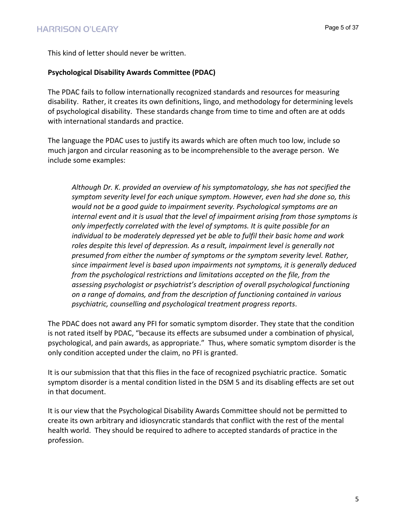This kind of letter should never be written.

## **Psychological Disability Awards Committee (PDAC)**

The PDAC fails to follow internationally recognized standards and resources for measuring disability. Rather, it creates its own definitions, lingo, and methodology for determining levels of psychological disability. These standards change from time to time and often are at odds with international standards and practice.

The language the PDAC uses to justify its awards which are often much too low, include so much jargon and circular reasoning as to be incomprehensible to the average person. We include some examples:

*Although Dr. K. provided an overview of his symptomatology, she has not specified the symptom severity level for each unique symptom. However, even had she done so, this would not be a good guide to impairment severity. Psychological symptoms are an internal event and it is usual that the level of impairment arising from those symptoms is only imperfectly correlated with the level of symptoms. It is quite possible for an individual to be moderately depressed yet be able to fulfil their basic home and work roles despite this level of depression. As a result, impairment level is generally not presumed from either the number of symptoms or the symptom severity level. Rather, since impairment level is based upon impairments not symptoms, it is generally deduced from the psychological restrictions and limitations accepted on the file, from the assessing psychologist or psychiatrist's description of overall psychological functioning on a range of domains, and from the description of functioning contained in various psychiatric, counselling and psychological treatment progress reports*.

The PDAC does not award any PFI for somatic symptom disorder. They state that the condition is not rated itself by PDAC, "because its effects are subsumed under a combination of physical, psychological, and pain awards, as appropriate." Thus, where somatic symptom disorder is the only condition accepted under the claim, no PFI is granted.

It is our submission that that this flies in the face of recognized psychiatric practice. Somatic symptom disorder is a mental condition listed in the DSM 5 and its disabling effects are set out in that document.

It is our view that the Psychological Disability Awards Committee should not be permitted to create its own arbitrary and idiosyncratic standards that conflict with the rest of the mental health world. They should be required to adhere to accepted standards of practice in the profession.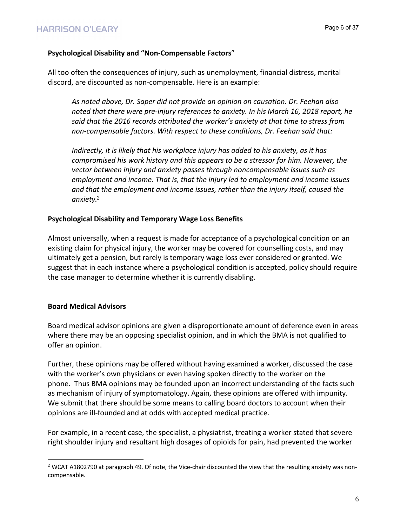# **Psychological Disability and "Non-Compensable Factors**"

All too often the consequences of injury, such as unemployment, financial distress, marital discord, are discounted as non-compensable. Here is an example:

*As noted above, Dr. Saper did not provide an opinion on causation. Dr. Feehan also noted that there were pre-injury references to anxiety. In his March 16, 2018 report, he said that the 2016 records attributed the worker's anxiety at that time to stress from non-compensable factors. With respect to these conditions, Dr. Feehan said that:*

*Indirectly, it is likely that his workplace injury has added to his anxiety, as it has compromised his work history and this appears to be a stressor for him. However, the vector between injury and anxiety passes through noncompensable issues such as employment and income. That is, that the injury led to employment and income issues and that the employment and income issues, rather than the injury itself, caused the anxiety*. 2

## **Psychological Disability and Temporary Wage Loss Benefits**

Almost universally, when a request is made for acceptance of a psychological condition on an existing claim for physical injury, the worker may be covered for counselling costs, and may ultimately get a pension, but rarely is temporary wage loss ever considered or granted. We suggest that in each instance where a psychological condition is accepted, policy should require the case manager to determine whether it is currently disabling.

## **Board Medical Advisors**

Board medical advisor opinions are given a disproportionate amount of deference even in areas where there may be an opposing specialist opinion, and in which the BMA is not qualified to offer an opinion.

Further, these opinions may be offered without having examined a worker, discussed the case with the worker's own physicians or even having spoken directly to the worker on the phone. Thus BMA opinions may be founded upon an incorrect understanding of the facts such as mechanism of injury of symptomatology. Again, these opinions are offered with impunity. We submit that there should be some means to calling board doctors to account when their opinions are ill-founded and at odds with accepted medical practice.

For example, in a recent case, the specialist, a physiatrist, treating a worker stated that severe right shoulder injury and resultant high dosages of opioids for pain, had prevented the worker

<sup>2</sup> WCAT A1802790 at paragraph 49. Of note, the Vice-chair discounted the view that the resulting anxiety was noncompensable.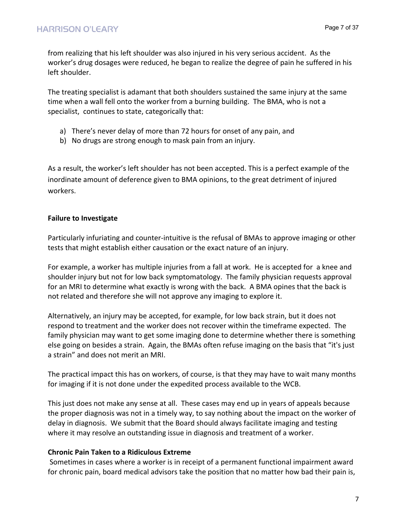from realizing that his left shoulder was also injured in his very serious accident. As the worker's drug dosages were reduced, he began to realize the degree of pain he suffered in his left shoulder.

The treating specialist is adamant that both shoulders sustained the same injury at the same time when a wall fell onto the worker from a burning building. The BMA, who is not a specialist, continues to state, categorically that:

- a) There's never delay of more than 72 hours for onset of any pain, and
- b) No drugs are strong enough to mask pain from an injury.

As a result, the worker's left shoulder has not been accepted. This is a perfect example of the inordinate amount of deference given to BMA opinions, to the great detriment of injured workers.

# **Failure to Investigate**

Particularly infuriating and counter-intuitive is the refusal of BMAs to approve imaging or other tests that might establish either causation or the exact nature of an injury.

For example, a worker has multiple injuries from a fall at work. He is accepted for a knee and shoulder injury but not for low back symptomatology. The family physician requests approval for an MRI to determine what exactly is wrong with the back. A BMA opines that the back is not related and therefore she will not approve any imaging to explore it.

Alternatively, an injury may be accepted, for example, for low back strain, but it does not respond to treatment and the worker does not recover within the timeframe expected. The family physician may want to get some imaging done to determine whether there is something else going on besides a strain. Again, the BMAs often refuse imaging on the basis that "it's just a strain" and does not merit an MRI.

The practical impact this has on workers, of course, is that they may have to wait many months for imaging if it is not done under the expedited process available to the WCB.

This just does not make any sense at all. These cases may end up in years of appeals because the proper diagnosis was not in a timely way, to say nothing about the impact on the worker of delay in diagnosis. We submit that the Board should always facilitate imaging and testing where it may resolve an outstanding issue in diagnosis and treatment of a worker.

# **Chronic Pain Taken to a Ridiculous Extreme**

Sometimes in cases where a worker is in receipt of a permanent functional impairment award for chronic pain, board medical advisors take the position that no matter how bad their pain is,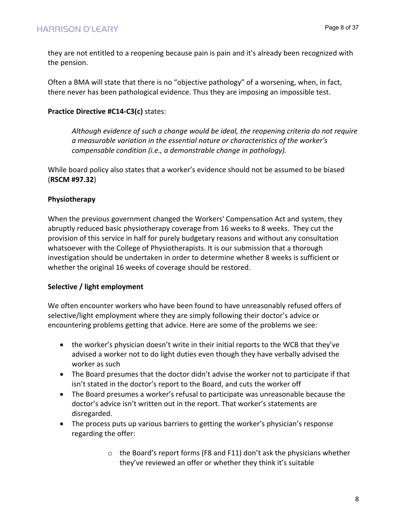they are not entitled to a reopening because pain is pain and it's already been recognized with the pension.

Often a BMA will state that there is no "objective pathology" of a worsening, when, in fact, there never has been pathological evidence. Thus they are imposing an impossible test.

# **Practice Directive #C14-C3(c)** states:

*Although evidence of such a change would be ideal, the reopening criteria do not require a measurable variation in the essential nature or characteristics of the worker's compensable condition (i.e., a demonstrable change in pathology).*

While board policy also states that a worker's evidence should not be assumed to be biased (**RSCM #97.32**)

# **Physiotherapy**

When the previous government changed the Workers' Compensation Act and system, they abruptly reduced basic physiotherapy coverage from 16 weeks to 8 weeks. They cut the provision of this service in half for purely budgetary reasons and without any consultation whatsoever with the College of Physiotherapists. It is our submission that a thorough investigation should be undertaken in order to determine whether 8 weeks is sufficient or whether the original 16 weeks of coverage should be restored.

# **Selective / light employment**

We often encounter workers who have been found to have unreasonably refused offers of selective/light employment where they are simply following their doctor's advice or encountering problems getting that advice. Here are some of the problems we see:

- the worker's physician doesn't write in their initial reports to the WCB that they've advised a worker not to do light duties even though they have verbally advised the worker as such
- The Board presumes that the doctor didn't advise the worker not to participate if that isn't stated in the doctor's report to the Board, and cuts the worker off
- The Board presumes a worker's refusal to participate was unreasonable because the doctor's advice isn't written out in the report. That worker's statements are disregarded.
- The process puts up various barriers to getting the worker's physician's response regarding the offer:
	- o the Board's report forms (F8 and F11) don't ask the physicians whether they've reviewed an offer or whether they think it's suitable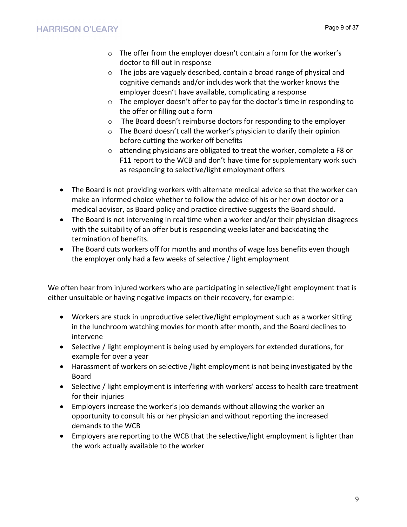- o The offer from the employer doesn't contain a form for the worker's doctor to fill out in response
- o The jobs are vaguely described, contain a broad range of physical and cognitive demands and/or includes work that the worker knows the employer doesn't have available, complicating a response
- o The employer doesn't offer to pay for the doctor's time in responding to the offer or filling out a form
- o The Board doesn't reimburse doctors for responding to the employer
- o The Board doesn't call the worker's physician to clarify their opinion before cutting the worker off benefits
- o attending physicians are obligated to treat the worker, complete a F8 or F11 report to the WCB and don't have time for supplementary work such as responding to selective/light employment offers
- The Board is not providing workers with alternate medical advice so that the worker can make an informed choice whether to follow the advice of his or her own doctor or a medical advisor, as Board policy and practice directive suggests the Board should.
- The Board is not intervening in real time when a worker and/or their physician disagrees with the suitability of an offer but is responding weeks later and backdating the termination of benefits.
- The Board cuts workers off for months and months of wage loss benefits even though the employer only had a few weeks of selective / light employment

We often hear from injured workers who are participating in selective/light employment that is either unsuitable or having negative impacts on their recovery, for example:

- Workers are stuck in unproductive selective/light employment such as a worker sitting in the lunchroom watching movies for month after month, and the Board declines to intervene
- Selective / light employment is being used by employers for extended durations, for example for over a year
- Harassment of workers on selective /light employment is not being investigated by the Board
- Selective / light employment is interfering with workers' access to health care treatment for their injuries
- Employers increase the worker's job demands without allowing the worker an opportunity to consult his or her physician and without reporting the increased demands to the WCB
- Employers are reporting to the WCB that the selective/light employment is lighter than the work actually available to the worker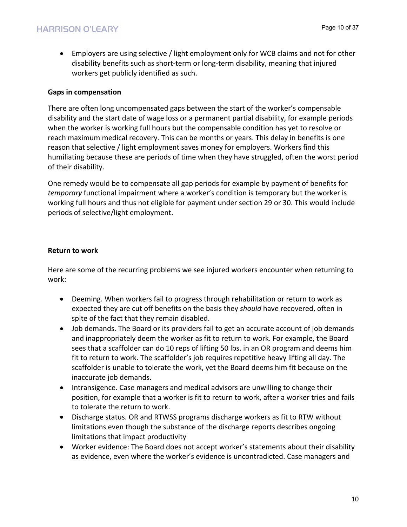• Employers are using selective / light employment only for WCB claims and not for other disability benefits such as short-term or long-term disability, meaning that injured workers get publicly identified as such.

## **Gaps in compensation**

There are often long uncompensated gaps between the start of the worker's compensable disability and the start date of wage loss or a permanent partial disability, for example periods when the worker is working full hours but the compensable condition has yet to resolve or reach maximum medical recovery. This can be months or years. This delay in benefits is one reason that selective / light employment saves money for employers. Workers find this humiliating because these are periods of time when they have struggled, often the worst period of their disability.

One remedy would be to compensate all gap periods for example by payment of benefits for *temporary* functional impairment where a worker's condition is temporary but the worker is working full hours and thus not eligible for payment under section 29 or 30. This would include periods of selective/light employment.

## **Return to work**

Here are some of the recurring problems we see injured workers encounter when returning to work:

- Deeming. When workers fail to progress through rehabilitation or return to work as expected they are cut off benefits on the basis they *should* have recovered, often in spite of the fact that they remain disabled.
- Job demands. The Board or its providers fail to get an accurate account of job demands and inappropriately deem the worker as fit to return to work. For example, the Board sees that a scaffolder can do 10 reps of lifting 50 lbs. in an OR program and deems him fit to return to work. The scaffolder's job requires repetitive heavy lifting all day. The scaffolder is unable to tolerate the work, yet the Board deems him fit because on the inaccurate job demands.
- Intransigence. Case managers and medical advisors are unwilling to change their position, for example that a worker is fit to return to work, after a worker tries and fails to tolerate the return to work.
- Discharge status. OR and RTWSS programs discharge workers as fit to RTW without limitations even though the substance of the discharge reports describes ongoing limitations that impact productivity
- Worker evidence: The Board does not accept worker's statements about their disability as evidence, even where the worker's evidence is uncontradicted. Case managers and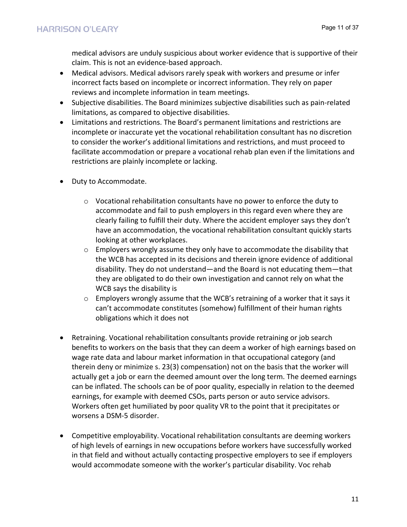medical advisors are unduly suspicious about worker evidence that is supportive of their claim. This is not an evidence-based approach.

- Medical advisors. Medical advisors rarely speak with workers and presume or infer incorrect facts based on incomplete or incorrect information. They rely on paper reviews and incomplete information in team meetings.
- Subjective disabilities. The Board minimizes subjective disabilities such as pain-related limitations, as compared to objective disabilities.
- Limitations and restrictions. The Board's permanent limitations and restrictions are incomplete or inaccurate yet the vocational rehabilitation consultant has no discretion to consider the worker's additional limitations and restrictions, and must proceed to facilitate accommodation or prepare a vocational rehab plan even if the limitations and restrictions are plainly incomplete or lacking.
- Duty to Accommodate.
	- $\circ$  Vocational rehabilitation consultants have no power to enforce the duty to accommodate and fail to push employers in this regard even where they are clearly failing to fulfill their duty. Where the accident employer says they don't have an accommodation, the vocational rehabilitation consultant quickly starts looking at other workplaces.
	- $\circ$  Employers wrongly assume they only have to accommodate the disability that the WCB has accepted in its decisions and therein ignore evidence of additional disability. They do not understand—and the Board is not educating them—that they are obligated to do their own investigation and cannot rely on what the WCB says the disability is
	- $\circ$  Employers wrongly assume that the WCB's retraining of a worker that it says it can't accommodate constitutes (somehow) fulfillment of their human rights obligations which it does not
- Retraining. Vocational rehabilitation consultants provide retraining or job search benefits to workers on the basis that they can deem a worker of high earnings based on wage rate data and labour market information in that occupational category (and therein deny or minimize s. 23(3) compensation) not on the basis that the worker will actually get a job or earn the deemed amount over the long term. The deemed earnings can be inflated. The schools can be of poor quality, especially in relation to the deemed earnings, for example with deemed CSOs, parts person or auto service advisors. Workers often get humiliated by poor quality VR to the point that it precipitates or worsens a DSM-5 disorder.
- Competitive employability. Vocational rehabilitation consultants are deeming workers of high levels of earnings in new occupations before workers have successfully worked in that field and without actually contacting prospective employers to see if employers would accommodate someone with the worker's particular disability. Voc rehab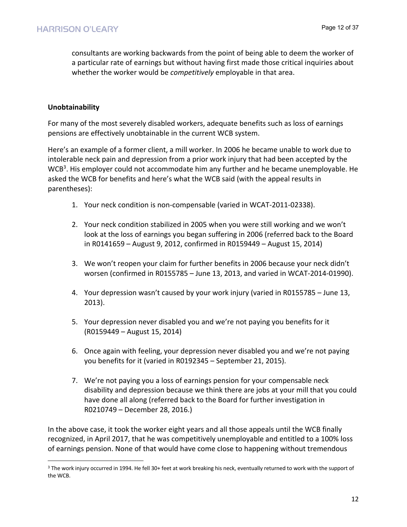consultants are working backwards from the point of being able to deem the worker of a particular rate of earnings but without having first made those critical inquiries about whether the worker would be *competitively* employable in that area.

# **Unobtainability**

For many of the most severely disabled workers, adequate benefits such as loss of earnings pensions are effectively unobtainable in the current WCB system.

Here's an example of a former client, a mill worker. In 2006 he became unable to work due to intolerable neck pain and depression from a prior work injury that had been accepted by the WCB<sup>3</sup>. His employer could not accommodate him any further and he became unemployable. He asked the WCB for benefits and here's what the WCB said (with the appeal results in parentheses):

- 1. Your neck condition is non-compensable (varied in WCAT-2011-02338).
- 2. Your neck condition stabilized in 2005 when you were still working and we won't look at the loss of earnings you began suffering in 2006 (referred back to the Board in R0141659 – August 9, 2012, confirmed in R0159449 – August 15, 2014)
- 3. We won't reopen your claim for further benefits in 2006 because your neck didn't worsen (confirmed in R0155785 – June 13, 2013, and varied in WCAT-2014-01990).
- 4. Your depression wasn't caused by your work injury (varied in R0155785 June 13, 2013).
- 5. Your depression never disabled you and we're not paying you benefits for it (R0159449 – August 15, 2014)
- 6. Once again with feeling, your depression never disabled you and we're not paying you benefits for it (varied in R0192345 – September 21, 2015).
- 7. We're not paying you a loss of earnings pension for your compensable neck disability and depression because we think there are jobs at your mill that you could have done all along (referred back to the Board for further investigation in R0210749 – December 28, 2016.)

In the above case, it took the worker eight years and all those appeals until the WCB finally recognized, in April 2017, that he was competitively unemployable and entitled to a 100% loss of earnings pension. None of that would have come close to happening without tremendous

<sup>&</sup>lt;sup>3</sup> The work injury occurred in 1994. He fell 30+ feet at work breaking his neck, eventually returned to work with the support of the WCB.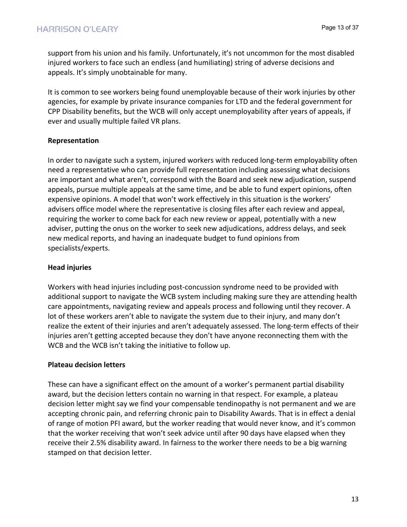support from his union and his family. Unfortunately, it's not uncommon for the most disabled injured workers to face such an endless (and humiliating) string of adverse decisions and appeals. It's simply unobtainable for many.

It is common to see workers being found unemployable because of their work injuries by other agencies, for example by private insurance companies for LTD and the federal government for CPP Disability benefits, but the WCB will only accept unemployability after years of appeals, if ever and usually multiple failed VR plans.

# **Representation**

In order to navigate such a system, injured workers with reduced long-term employability often need a representative who can provide full representation including assessing what decisions are important and what aren't, correspond with the Board and seek new adjudication, suspend appeals, pursue multiple appeals at the same time, and be able to fund expert opinions, often expensive opinions. A model that won't work effectively in this situation is the workers' advisers office model where the representative is closing files after each review and appeal, requiring the worker to come back for each new review or appeal, potentially with a new adviser, putting the onus on the worker to seek new adjudications, address delays, and seek new medical reports, and having an inadequate budget to fund opinions from specialists/experts.

# **Head injuries**

Workers with head injuries including post-concussion syndrome need to be provided with additional support to navigate the WCB system including making sure they are attending health care appointments, navigating review and appeals process and following until they recover. A lot of these workers aren't able to navigate the system due to their injury, and many don't realize the extent of their injuries and aren't adequately assessed. The long-term effects of their injuries aren't getting accepted because they don't have anyone reconnecting them with the WCB and the WCB isn't taking the initiative to follow up.

## **Plateau decision letters**

These can have a significant effect on the amount of a worker's permanent partial disability award, but the decision letters contain no warning in that respect. For example, a plateau decision letter might say we find your compensable tendinopathy is not permanent and we are accepting chronic pain, and referring chronic pain to Disability Awards. That is in effect a denial of range of motion PFI award, but the worker reading that would never know, and it's common that the worker receiving that won't seek advice until after 90 days have elapsed when they receive their 2.5% disability award. In fairness to the worker there needs to be a big warning stamped on that decision letter.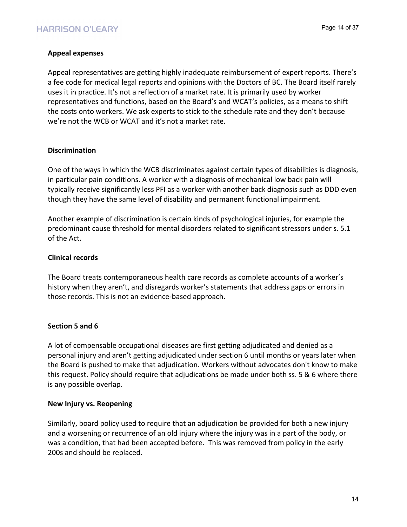# **Appeal expenses**

Appeal representatives are getting highly inadequate reimbursement of expert reports. There's a fee code for medical legal reports and opinions with the Doctors of BC. The Board itself rarely uses it in practice. It's not a reflection of a market rate. It is primarily used by worker representatives and functions, based on the Board's and WCAT's policies, as a means to shift the costs onto workers. We ask experts to stick to the schedule rate and they don't because we're not the WCB or WCAT and it's not a market rate.

## **Discrimination**

One of the ways in which the WCB discriminates against certain types of disabilities is diagnosis, in particular pain conditions. A worker with a diagnosis of mechanical low back pain will typically receive significantly less PFI as a worker with another back diagnosis such as DDD even though they have the same level of disability and permanent functional impairment.

Another example of discrimination is certain kinds of psychological injuries, for example the predominant cause threshold for mental disorders related to significant stressors under s. 5.1 of the Act.

# **Clinical records**

The Board treats contemporaneous health care records as complete accounts of a worker's history when they aren't, and disregards worker's statements that address gaps or errors in those records. This is not an evidence-based approach.

# **Section 5 and 6**

A lot of compensable occupational diseases are first getting adjudicated and denied as a personal injury and aren't getting adjudicated under section 6 until months or years later when the Board is pushed to make that adjudication. Workers without advocates don't know to make this request. Policy should require that adjudications be made under both ss. 5 & 6 where there is any possible overlap.

## **New Injury vs. Reopening**

Similarly, board policy used to require that an adjudication be provided for both a new injury and a worsening or recurrence of an old injury where the injury was in a part of the body, or was a condition, that had been accepted before. This was removed from policy in the early 200s and should be replaced.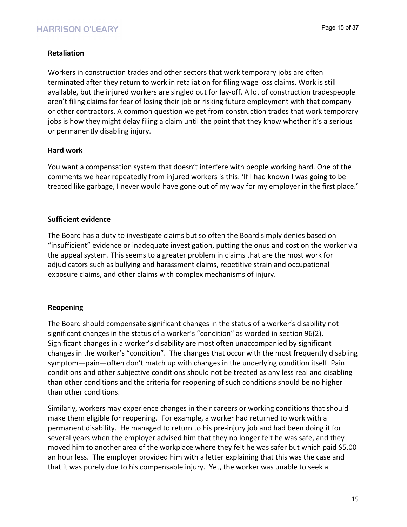# **Retaliation**

Workers in construction trades and other sectors that work temporary jobs are often terminated after they return to work in retaliation for filing wage loss claims. Work is still available, but the injured workers are singled out for lay-off. A lot of construction tradespeople aren't filing claims for fear of losing their job or risking future employment with that company or other contractors. A common question we get from construction trades that work temporary jobs is how they might delay filing a claim until the point that they know whether it's a serious or permanently disabling injury.

## **Hard work**

You want a compensation system that doesn't interfere with people working hard. One of the comments we hear repeatedly from injured workers is this: 'If I had known I was going to be treated like garbage, I never would have gone out of my way for my employer in the first place.'

## **Sufficient evidence**

The Board has a duty to investigate claims but so often the Board simply denies based on "insufficient" evidence or inadequate investigation, putting the onus and cost on the worker via the appeal system. This seems to a greater problem in claims that are the most work for adjudicators such as bullying and harassment claims, repetitive strain and occupational exposure claims, and other claims with complex mechanisms of injury.

# **Reopening**

The Board should compensate significant changes in the status of a worker's disability not significant changes in the status of a worker's "condition" as worded in section 96(2). Significant changes in a worker's disability are most often unaccompanied by significant changes in the worker's "condition". The changes that occur with the most frequently disabling symptom—pain—often don't match up with changes in the underlying condition itself. Pain conditions and other subjective conditions should not be treated as any less real and disabling than other conditions and the criteria for reopening of such conditions should be no higher than other conditions.

Similarly, workers may experience changes in their careers or working conditions that should make them eligible for reopening. For example, a worker had returned to work with a permanent disability. He managed to return to his pre-injury job and had been doing it for several years when the employer advised him that they no longer felt he was safe, and they moved him to another area of the workplace where they felt he was safer but which paid \$5.00 an hour less. The employer provided him with a letter explaining that this was the case and that it was purely due to his compensable injury. Yet, the worker was unable to seek a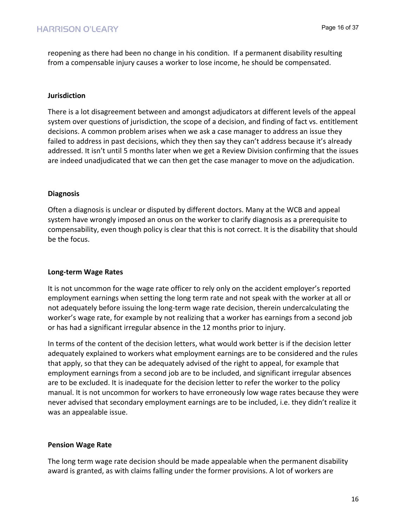reopening as there had been no change in his condition. If a permanent disability resulting from a compensable injury causes a worker to lose income, he should be compensated.

## **Jurisdiction**

There is a lot disagreement between and amongst adjudicators at different levels of the appeal system over questions of jurisdiction, the scope of a decision, and finding of fact vs. entitlement decisions. A common problem arises when we ask a case manager to address an issue they failed to address in past decisions, which they then say they can't address because it's already addressed. It isn't until 5 months later when we get a Review Division confirming that the issues are indeed unadjudicated that we can then get the case manager to move on the adjudication.

## **Diagnosis**

Often a diagnosis is unclear or disputed by different doctors. Many at the WCB and appeal system have wrongly imposed an onus on the worker to clarify diagnosis as a prerequisite to compensability, even though policy is clear that this is not correct. It is the disability that should be the focus.

## **Long-term Wage Rates**

It is not uncommon for the wage rate officer to rely only on the accident employer's reported employment earnings when setting the long term rate and not speak with the worker at all or not adequately before issuing the long-term wage rate decision, therein undercalculating the worker's wage rate, for example by not realizing that a worker has earnings from a second job or has had a significant irregular absence in the 12 months prior to injury.

In terms of the content of the decision letters, what would work better is if the decision letter adequately explained to workers what employment earnings are to be considered and the rules that apply, so that they can be adequately advised of the right to appeal, for example that employment earnings from a second job are to be included, and significant irregular absences are to be excluded. It is inadequate for the decision letter to refer the worker to the policy manual. It is not uncommon for workers to have erroneously low wage rates because they were never advised that secondary employment earnings are to be included, i.e. they didn't realize it was an appealable issue.

# **Pension Wage Rate**

The long term wage rate decision should be made appealable when the permanent disability award is granted, as with claims falling under the former provisions. A lot of workers are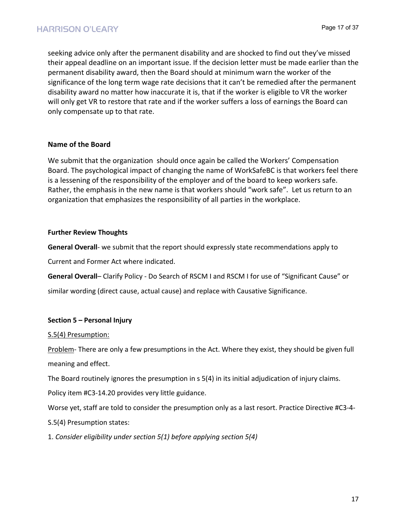seeking advice only after the permanent disability and are shocked to find out they've missed their appeal deadline on an important issue. If the decision letter must be made earlier than the permanent disability award, then the Board should at minimum warn the worker of the significance of the long term wage rate decisions that it can't be remedied after the permanent disability award no matter how inaccurate it is, that if the worker is eligible to VR the worker will only get VR to restore that rate and if the worker suffers a loss of earnings the Board can only compensate up to that rate.

## **Name of the Board**

We submit that the organization should once again be called the Workers' Compensation Board. The psychological impact of changing the name of WorkSafeBC is that workers feel there is a lessening of the responsibility of the employer and of the board to keep workers safe. Rather, the emphasis in the new name is that workers should "work safe". Let us return to an organization that emphasizes the responsibility of all parties in the workplace.

#### **Further Review Thoughts**

**General Overall**- we submit that the report should expressly state recommendations apply to

Current and Former Act where indicated.

**General Overall**– Clarify Policy - Do Search of RSCM I and RSCM I for use of "Significant Cause" or

similar wording (direct cause, actual cause) and replace with Causative Significance.

## **Section 5 – Personal Injury**

#### S.5(4) Presumption:

Problem- There are only a few presumptions in the Act. Where they exist, they should be given full meaning and effect.

The Board routinely ignores the presumption in s 5(4) in its initial adjudication of injury claims.

Policy item #C3-14.20 provides very little guidance.

Worse yet, staff are told to consider the presumption only as a last resort. Practice Directive #C3-4-

- S.5(4) Presumption states:
- 1. *Consider eligibility under section 5(1) before applying section 5(4)*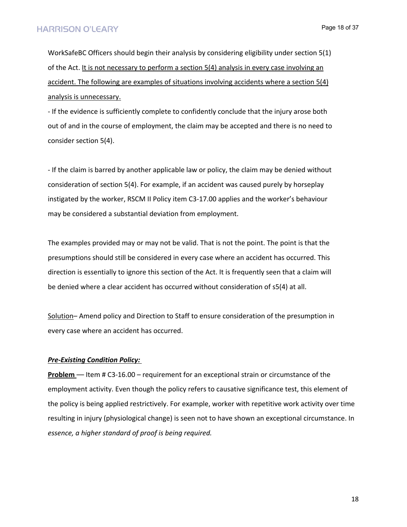WorkSafeBC Officers should begin their analysis by considering eligibility under section 5(1) of the Act. It is not necessary to perform a section 5(4) analysis in every case involving an accident. The following are examples of situations involving accidents where a section 5(4) analysis is unnecessary.

- If the evidence is sufficiently complete to confidently conclude that the injury arose both out of and in the course of employment, the claim may be accepted and there is no need to consider section 5(4).

- If the claim is barred by another applicable law or policy, the claim may be denied without consideration of section 5(4). For example, if an accident was caused purely by horseplay instigated by the worker, RSCM II Policy item C3-17.00 applies and the worker's behaviour may be considered a substantial deviation from employment.

The examples provided may or may not be valid. That is not the point. The point is that the presumptions should still be considered in every case where an accident has occurred. This direction is essentially to ignore this section of the Act. It is frequently seen that a claim will be denied where a clear accident has occurred without consideration of s5(4) at all.

Solution– Amend policy and Direction to Staff to ensure consideration of the presumption in every case where an accident has occurred.

#### *Pre-Existing Condition Policy:*

**Problem** — Item # C3-16.00 – requirement for an exceptional strain or circumstance of the employment activity. Even though the policy refers to causative significance test, this element of the policy is being applied restrictively. For example, worker with repetitive work activity over time resulting in injury (physiological change) is seen not to have shown an exceptional circumstance. In *essence, a higher standard of proof is being required.*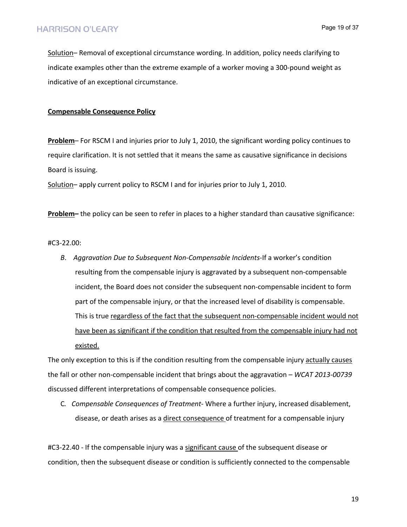Solution– Removal of exceptional circumstance wording. In addition, policy needs clarifying to indicate examples other than the extreme example of a worker moving a 300-pound weight as indicative of an exceptional circumstance.

#### **Compensable Consequence Policy**

**Problem**– For RSCM I and injuries prior to July 1, 2010, the significant wording policy continues to require clarification. It is not settled that it means the same as causative significance in decisions Board is issuing.

Solution– apply current policy to RSCM I and for injuries prior to July 1, 2010.

**Problem–** the policy can be seen to refer in places to a higher standard than causative significance:

#### #C3-22.00:

*B*. *Aggravation Due to Subsequent Non-Compensable Incidents*-If a worker's condition resulting from the compensable injury is aggravated by a subsequent non-compensable incident, the Board does not consider the subsequent non-compensable incident to form part of the compensable injury, or that the increased level of disability is compensable. This is true regardless of the fact that the subsequent non-compensable incident would not have been as significant if the condition that resulted from the compensable injury had not existed.

The only exception to this is if the condition resulting from the compensable injury actually causes the fall or other non-compensable incident that brings about the aggravation – *WCAT 2013-00739*  discussed different interpretations of compensable consequence policies.

C*. Compensable Consequences of Treatment*- Where a further injury, increased disablement, disease, or death arises as a direct consequence of treatment for a compensable injury

#C3-22.40 - If the compensable injury was a significant cause of the subsequent disease or condition, then the subsequent disease or condition is sufficiently connected to the compensable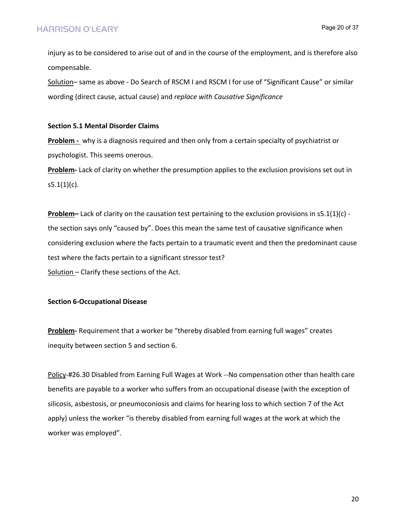injury as to be considered to arise out of and in the course of the employment, and is therefore also compensable.

Solution– same as above - Do Search of RSCM I and RSCM I for use of "Significant Cause" or similar wording (direct cause, actual cause) and *replace with Causative Significance*

#### **Section 5.1 Mental Disorder Claims**

**Problem -** why is a diagnosis required and then only from a certain specialty of psychiatrist or psychologist. This seems onerous.

**Problem-** Lack of clarity on whether the presumption applies to the exclusion provisions set out in  $s5.1(1)(c)$ .

**Problem–** Lack of clarity on the causation test pertaining to the exclusion provisions in s5.1(1)(c) the section says only "caused by". Does this mean the same test of causative significance when considering exclusion where the facts pertain to a traumatic event and then the predominant cause test where the facts pertain to a significant stressor test? Solution – Clarify these sections of the Act.

#### **Section 6-Occupational Disease**

**Problem-** Requirement that a worker be "thereby disabled from earning full wages" creates inequity between section 5 and section 6.

Policy-#26.30 Disabled from Earning Full Wages at Work --No compensation other than health care benefits are payable to a worker who suffers from an occupational disease (with the exception of silicosis, asbestosis, or pneumoconiosis and claims for hearing loss to which section 7 of the Act apply) unless the worker "is thereby disabled from earning full wages at the work at which the worker was employed".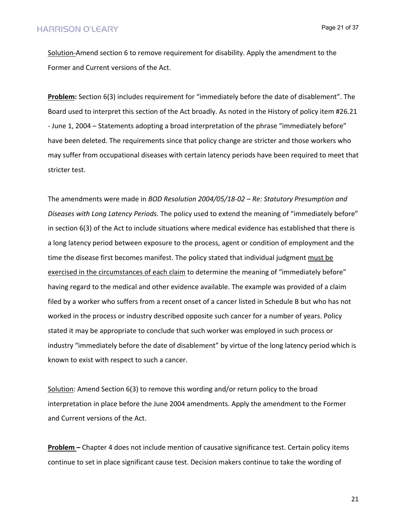Page 21 of 37

Solution-Amend section 6 to remove requirement for disability. Apply the amendment to the Former and Current versions of the Act.

**Problem:** Section 6(3) includes requirement for "immediately before the date of disablement". The Board used to interpret this section of the Act broadly. As noted in the History of policy item #26.21 - June 1, 2004 – Statements adopting a broad interpretation of the phrase "immediately before" have been deleted. The requirements since that policy change are stricter and those workers who may suffer from occupational diseases with certain latency periods have been required to meet that stricter test.

The amendments were made in *BOD Resolution 2004/05/18-02 – Re: Statutory Presumption and Diseases with Long Latency Periods.* The policy used to extend the meaning of "immediately before" in section 6(3) of the Act to include situations where medical evidence has established that there is a long latency period between exposure to the process, agent or condition of employment and the time the disease first becomes manifest. The policy stated that individual judgment must be exercised in the circumstances of each claim to determine the meaning of "immediately before" having regard to the medical and other evidence available. The example was provided of a claim filed by a worker who suffers from a recent onset of a cancer listed in Schedule B but who has not worked in the process or industry described opposite such cancer for a number of years. Policy stated it may be appropriate to conclude that such worker was employed in such process or industry "immediately before the date of disablement" by virtue of the long latency period which is known to exist with respect to such a cancer.

Solution: Amend Section 6(3) to remove this wording and/or return policy to the broad interpretation in place before the June 2004 amendments. Apply the amendment to the Former and Current versions of the Act.

**Problem –** Chapter 4 does not include mention of causative significance test. Certain policy items continue to set in place significant cause test. Decision makers continue to take the wording of

21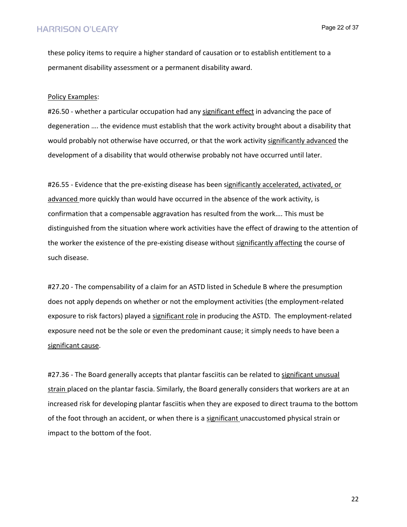these policy items to require a higher standard of causation or to establish entitlement to a permanent disability assessment or a permanent disability award.

#### Policy Examples:

#26.50 - whether a particular occupation had any significant effect in advancing the pace of degeneration …. the evidence must establish that the work activity brought about a disability that would probably not otherwise have occurred, or that the work activity significantly advanced the development of a disability that would otherwise probably not have occurred until later.

#26.55 - Evidence that the pre-existing disease has been significantly accelerated, activated, or advanced more quickly than would have occurred in the absence of the work activity, is confirmation that a compensable aggravation has resulted from the work…. This must be distinguished from the situation where work activities have the effect of drawing to the attention of the worker the existence of the pre-existing disease without significantly affecting the course of such disease.

#27.20 - The compensability of a claim for an ASTD listed in Schedule B where the presumption does not apply depends on whether or not the employment activities (the employment-related exposure to risk factors) played a significant role in producing the ASTD. The employment-related exposure need not be the sole or even the predominant cause; it simply needs to have been a significant cause.

#27.36 - The Board generally accepts that plantar fasciitis can be related to significant unusual strain placed on the plantar fascia. Similarly, the Board generally considers that workers are at an increased risk for developing plantar fasciitis when they are exposed to direct trauma to the bottom of the foot through an accident, or when there is a significant unaccustomed physical strain or impact to the bottom of the foot.

22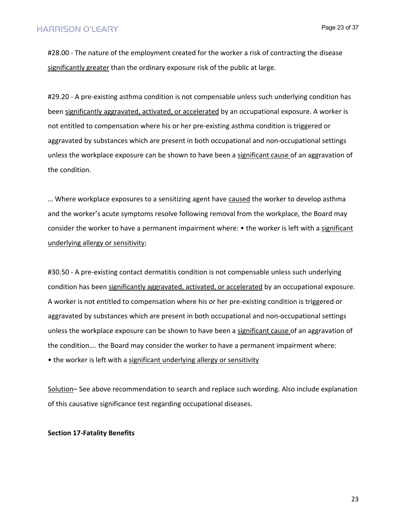#28.00 - The nature of the employment created for the worker a risk of contracting the disease significantly greater than the ordinary exposure risk of the public at large.

#29.20 - A pre-existing asthma condition is not compensable unless such underlying condition has been significantly aggravated, activated, or accelerated by an occupational exposure. A worker is not entitled to compensation where his or her pre-existing asthma condition is triggered or aggravated by substances which are present in both occupational and non-occupational settings unless the workplace exposure can be shown to have been a significant cause of an aggravation of the condition.

… Where workplace exposures to a sensitizing agent have caused the worker to develop asthma and the worker's acute symptoms resolve following removal from the workplace, the Board may consider the worker to have a permanent impairment where: • the worker is left with a significant underlying allergy or sensitivity;

#30.50 - A pre-existing contact dermatitis condition is not compensable unless such underlying condition has been significantly aggravated, activated, or accelerated by an occupational exposure. A worker is not entitled to compensation where his or her pre-existing condition is triggered or aggravated by substances which are present in both occupational and non-occupational settings unless the workplace exposure can be shown to have been a significant cause of an aggravation of the condition…. the Board may consider the worker to have a permanent impairment where: • the worker is left with a significant underlying allergy or sensitivity

Solution– See above recommendation to search and replace such wording. Also include explanation of this causative significance test regarding occupational diseases.

**Section 17-Fatality Benefits**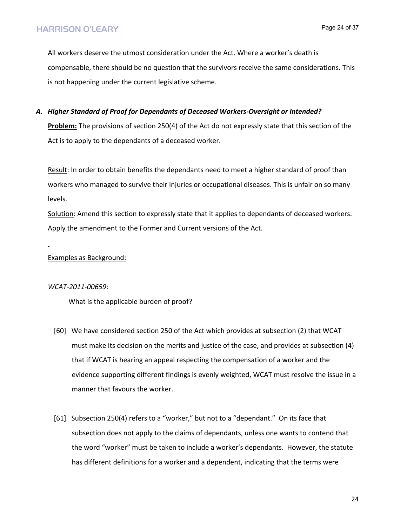All workers deserve the utmost consideration under the Act. Where a worker's death is compensable, there should be no question that the survivors receive the same considerations. This is not happening under the current legislative scheme.

#### *A. Higher Standard of Proof for Dependants of Deceased Workers-Oversight or Intended?*

**Problem:** The provisions of section 250(4) of the Act do not expressly state that this section of the Act is to apply to the dependants of a deceased worker.

Result: In order to obtain benefits the dependants need to meet a higher standard of proof than workers who managed to survive their injuries or occupational diseases. This is unfair on so many levels.

Solution: Amend this section to expressly state that it applies to dependants of deceased workers. Apply the amendment to the Former and Current versions of the Act.

Examples as Background:

#### *WCAT-2011-00659*:

What is the applicable burden of proof?

- [60] We have considered section 250 of the Act which provides at subsection (2) that WCAT must make its decision on the merits and justice of the case, and provides at subsection (4) that if WCAT is hearing an appeal respecting the compensation of a worker and the evidence supporting different findings is evenly weighted, WCAT must resolve the issue in a manner that favours the worker.
- [61] Subsection 250(4) refers to a "worker," but not to a "dependant." On its face that subsection does not apply to the claims of dependants, unless one wants to contend that the word "worker" must be taken to include a worker's dependants. However, the statute has different definitions for a worker and a dependent, indicating that the terms were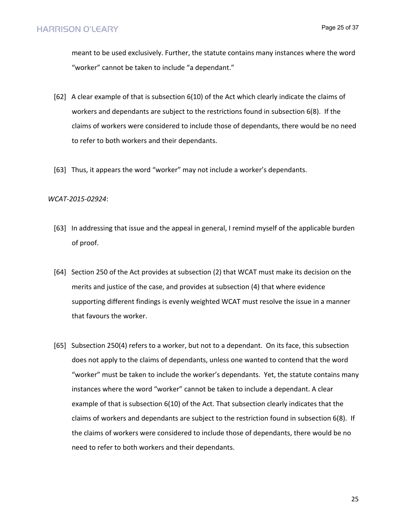meant to be used exclusively. Further, the statute contains many instances where the word "worker" cannot be taken to include "a dependant."

- [62] A clear example of that is subsection 6(10) of the Act which clearly indicate the claims of workers and dependants are subject to the restrictions found in subsection 6(8). If the claims of workers were considered to include those of dependants, there would be no need to refer to both workers and their dependants.
- [63] Thus, it appears the word "worker" may not include a worker's dependants.

#### *WCAT-2015-02924*:

- [63] In addressing that issue and the appeal in general, I remind myself of the applicable burden of proof.
- [64] Section 250 of the Act provides at subsection (2) that WCAT must make its decision on the merits and justice of the case, and provides at subsection (4) that where evidence supporting different findings is evenly weighted WCAT must resolve the issue in a manner that favours the worker.
- [65] Subsection 250(4) refers to a worker, but not to a dependant. On its face, this subsection does not apply to the claims of dependants, unless one wanted to contend that the word "worker" must be taken to include the worker's dependants. Yet, the statute contains many instances where the word "worker" cannot be taken to include a dependant. A clear example of that is subsection 6(10) of the Act. That subsection clearly indicates that the claims of workers and dependants are subject to the restriction found in subsection 6(8). If the claims of workers were considered to include those of dependants, there would be no need to refer to both workers and their dependants.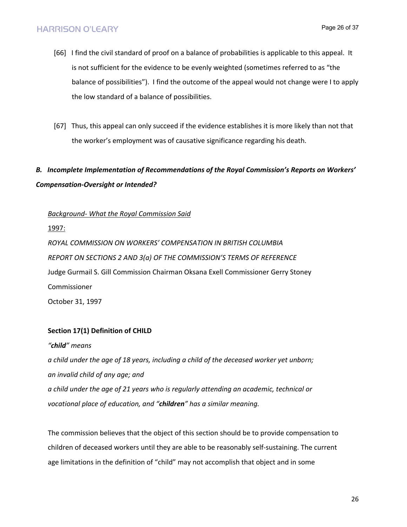- [66] I find the civil standard of proof on a balance of probabilities is applicable to this appeal. It is not sufficient for the evidence to be evenly weighted (sometimes referred to as "the balance of possibilities"). I find the outcome of the appeal would not change were I to apply the low standard of a balance of possibilities.
- [67] Thus, this appeal can only succeed if the evidence establishes it is more likely than not that the worker's employment was of causative significance regarding his death.

# *B. Incomplete Implementation of Recommendations of the Royal Commission's Reports on Workers' Compensation-Oversight or Intended?*

*Background- What the Royal Commission Said*

1997:

*ROYAL COMMISSION ON WORKERS' COMPENSATION IN BRITISH COLUMBIA REPORT ON SECTIONS 2 AND 3(a) OF THE COMMISSION'S TERMS OF REFERENCE* Judge Gurmail S. Gill Commission Chairman Oksana Exell Commissioner Gerry Stoney Commissioner October 31, 1997

## **Section 17(1) Definition of CHILD**

*"child" means a child under the age of 18 years, including a child of the deceased worker yet unborn; an invalid child of any age; and a child under the age of 21 years who is regularly attending an academic, technical or vocational place of education, and "children" has a similar meaning.*

The commission believes that the object of this section should be to provide compensation to children of deceased workers until they are able to be reasonably self-sustaining. The current age limitations in the definition of "child" may not accomplish that object and in some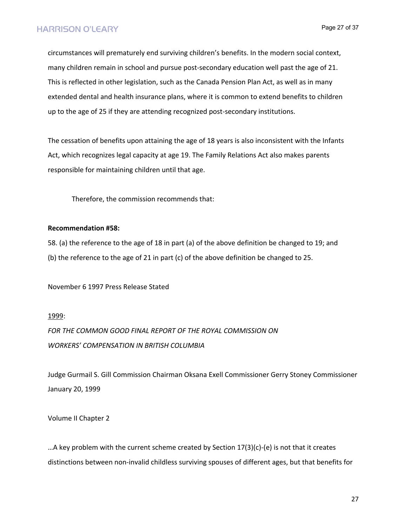circumstances will prematurely end surviving children's benefits. In the modern social context, many children remain in school and pursue post-secondary education well past the age of 21. This is reflected in other legislation, such as the Canada Pension Plan Act, as well as in many extended dental and health insurance plans, where it is common to extend benefits to children up to the age of 25 if they are attending recognized post-secondary institutions.

The cessation of benefits upon attaining the age of 18 years is also inconsistent with the Infants Act, which recognizes legal capacity at age 19. The Family Relations Act also makes parents responsible for maintaining children until that age.

Therefore, the commission recommends that:

#### **Recommendation #58:**

58. (a) the reference to the age of 18 in part (a) of the above definition be changed to 19; and (b) the reference to the age of 21 in part (c) of the above definition be changed to 25.

November 6 1997 Press Release Stated

1999:

*FOR THE COMMON GOOD FINAL REPORT OF THE ROYAL COMMISSION ON WORKERS' COMPENSATION IN BRITISH COLUMBIA*

Judge Gurmail S. Gill Commission Chairman Oksana Exell Commissioner Gerry Stoney Commissioner January 20, 1999

Volume II Chapter 2

...A key problem with the current scheme created by Section  $17(3)(c)$ -(e) is not that it creates distinctions between non-invalid childless surviving spouses of different ages, but that benefits for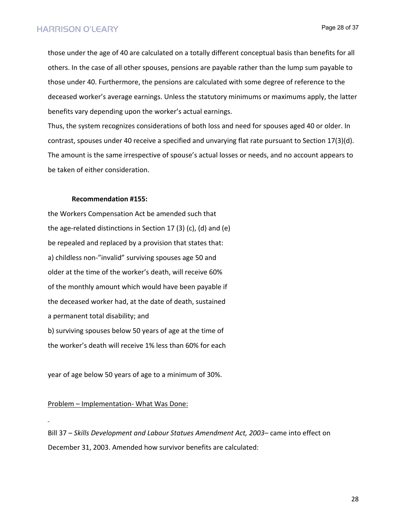those under the age of 40 are calculated on a totally different conceptual basis than benefits for all others. In the case of all other spouses, pensions are payable rather than the lump sum payable to those under 40. Furthermore, the pensions are calculated with some degree of reference to the deceased worker's average earnings. Unless the statutory minimums or maximums apply, the latter benefits vary depending upon the worker's actual earnings.

Thus, the system recognizes considerations of both loss and need for spouses aged 40 or older. In contrast, spouses under 40 receive a specified and unvarying flat rate pursuant to Section 17(3)(d). The amount is the same irrespective of spouse's actual losses or needs, and no account appears to be taken of either consideration.

#### **Recommendation #155:**

the Workers Compensation Act be amended such that the age-related distinctions in Section 17 (3) (c), (d) and (e) be repealed and replaced by a provision that states that: a) childless non-"invalid" surviving spouses age 50 and older at the time of the worker's death, will receive 60% of the monthly amount which would have been payable if the deceased worker had, at the date of death, sustained a permanent total disability; and b) surviving spouses below 50 years of age at the time of the worker's death will receive 1% less than 60% for each

year of age below 50 years of age to a minimum of 30%.

#### Problem – Implementation- What Was Done:

Bill 37 – *Skills Development and Labour Statues Amendment Act, 2003*– came into effect on December 31, 2003. Amended how survivor benefits are calculated:

28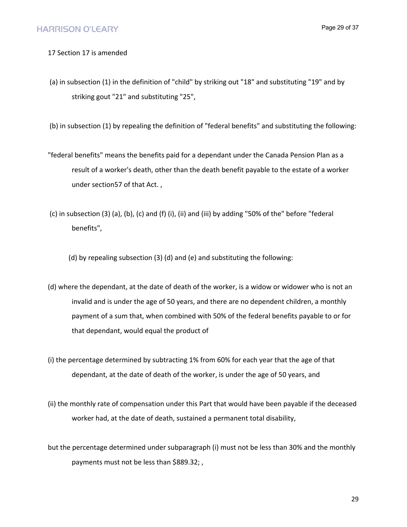#### 17 Section 17 is amended

(a) in subsection (1) in the definition of "child" by striking out "18" and substituting "19" and by striking gout "21" and substituting "25",

(b) in subsection (1) by repealing the definition of "federal benefits" and substituting the following:

- "federal benefits" means the benefits paid for a dependant under the Canada Pension Plan as a result of a worker's death, other than the death benefit payable to the estate of a worker under section57 of that Act. ,
- (c) in subsection (3) (a), (b), (c) and (f) (i), (ii) and (iii) by adding "50% of the" before "federal benefits",
	- (d) by repealing subsection (3) (d) and (e) and substituting the following:
- (d) where the dependant, at the date of death of the worker, is a widow or widower who is not an invalid and is under the age of 50 years, and there are no dependent children, a monthly payment of a sum that, when combined with 50% of the federal benefits payable to or for that dependant, would equal the product of
- (i) the percentage determined by subtracting 1% from 60% for each year that the age of that dependant, at the date of death of the worker, is under the age of 50 years, and
- (ii) the monthly rate of compensation under this Part that would have been payable if the deceased worker had, at the date of death, sustained a permanent total disability,
- but the percentage determined under subparagraph (i) must not be less than 30% and the monthly payments must not be less than \$889.32; ,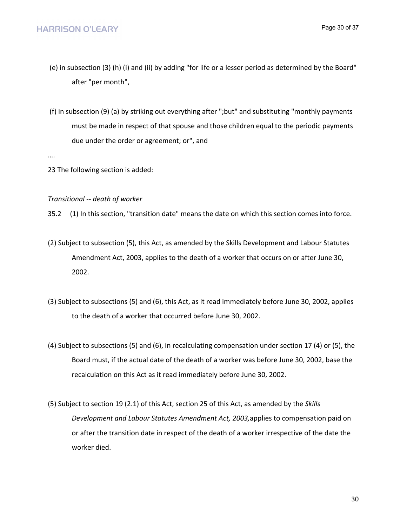- (e) in subsection (3) (h) (i) and (ii) by adding "for life or a lesser period as determined by the Board" after "per month",
- (f) in subsection (9) (a) by striking out everything after ";but" and substituting "monthly payments must be made in respect of that spouse and those children equal to the periodic payments due under the order or agreement; or", and

….

23 The following section is added:

#### *Transitional -- death of worker*

35.2 (1) In this section, "transition date" means the date on which this section comes into force.

- (2) Subject to subsection (5), this Act, as amended by the Skills Development and Labour Statutes Amendment Act, 2003, applies to the death of a worker that occurs on or after June 30, 2002.
- (3) Subject to subsections (5) and (6), this Act, as it read immediately before June 30, 2002, applies to the death of a worker that occurred before June 30, 2002.
- (4) Subject to subsections (5) and (6), in recalculating compensation under section 17 (4) or (5), the Board must, if the actual date of the death of a worker was before June 30, 2002, base the recalculation on this Act as it read immediately before June 30, 2002.
- (5) Subject to section 19 (2.1) of this Act, section 25 of this Act, as amended by the *Skills Development and Labour Statutes Amendment Act, 2003,*applies to compensation paid on or after the transition date in respect of the death of a worker irrespective of the date the worker died.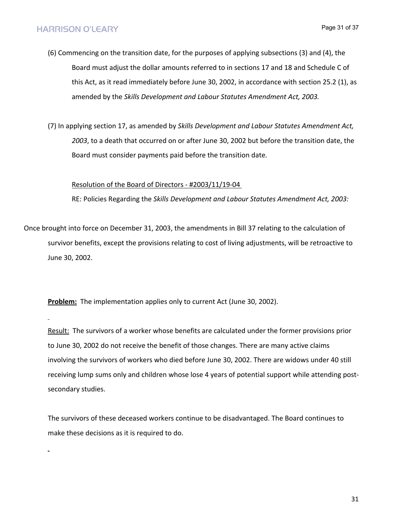- (6) Commencing on the transition date, for the purposes of applying subsections (3) and (4), the Board must adjust the dollar amounts referred to in sections 17 and 18 and Schedule C of this Act, as it read immediately before June 30, 2002, in accordance with section 25.2 (1), as amended by the *Skills Development and Labour Statutes Amendment Act, 2003.*
- (7) In applying section 17, as amended by *Skills Development and Labour Statutes Amendment Act, 2003*, to a death that occurred on or after June 30, 2002 but before the transition date, the Board must consider payments paid before the transition date.

#### Resolution of the Board of Directors - #2003/11/19-04

RE: Policies Regarding the *Skills Development and Labour Statutes Amendment Act, 2003:*

Once brought into force on December 31, 2003, the amendments in Bill 37 relating to the calculation of survivor benefits, except the provisions relating to cost of living adjustments, will be retroactive to June 30, 2002.

**Problem:** The implementation applies only to current Act (June 30, 2002).

Result: The survivors of a worker whose benefits are calculated under the former provisions prior to June 30, 2002 do not receive the benefit of those changes. There are many active claims involving the survivors of workers who died before June 30, 2002. There are widows under 40 still receiving lump sums only and children whose lose 4 years of potential support while attending postsecondary studies.

The survivors of these deceased workers continue to be disadvantaged. The Board continues to make these decisions as it is required to do.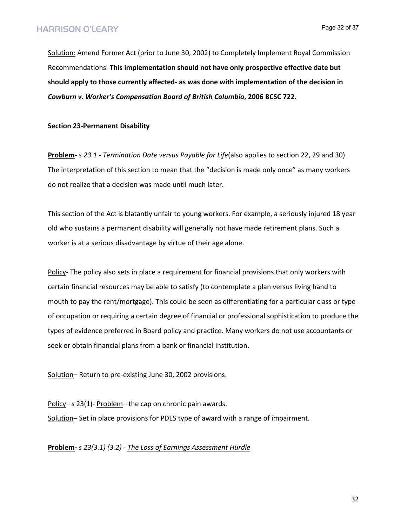Page 32 of 37

Solution: Amend Former Act (prior to June 30, 2002) to Completely Implement Royal Commission Recommendations. **This implementation should not have only prospective effective date but should apply to those currently affected- as was done with implementation of the decision in**  *Cowburn v. Worker's Compensation Board of British Columbia***, 2006 BCSC 722.**

**Section 23-Permanent Disability**

**Problem-** *s 23.1 - Termination Date versus Payable for Life*(also applies to section 22, 29 and 30) The interpretation of this section to mean that the "decision is made only once" as many workers do not realize that a decision was made until much later.

This section of the Act is blatantly unfair to young workers. For example, a seriously injured 18 year old who sustains a permanent disability will generally not have made retirement plans. Such a worker is at a serious disadvantage by virtue of their age alone.

Policy- The policy also sets in place a requirement for financial provisions that only workers with certain financial resources may be able to satisfy (to contemplate a plan versus living hand to mouth to pay the rent/mortgage). This could be seen as differentiating for a particular class or type of occupation or requiring a certain degree of financial or professional sophistication to produce the types of evidence preferred in Board policy and practice. Many workers do not use accountants or seek or obtain financial plans from a bank or financial institution.

Solution– Return to pre-existing June 30, 2002 provisions.

Policy– s 23(1)- Problem– the cap on chronic pain awards. Solution– Set in place provisions for PDES type of award with a range of impairment.

**Problem-** *s 23(3.1) (3.2) - The Loss of Earnings Assessment Hurdle*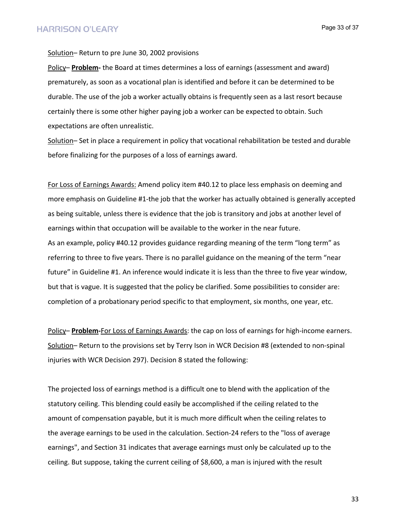Page 33 of 37

Solution-Return to pre June 30, 2002 provisions

Policy– **Problem-** the Board at times determines a loss of earnings (assessment and award) prematurely, as soon as a vocational plan is identified and before it can be determined to be durable. The use of the job a worker actually obtains is frequently seen as a last resort because certainly there is some other higher paying job a worker can be expected to obtain. Such expectations are often unrealistic.

Solution– Set in place a requirement in policy that vocational rehabilitation be tested and durable before finalizing for the purposes of a loss of earnings award.

For Loss of Earnings Awards: Amend policy item #40.12 to place less emphasis on deeming and more emphasis on Guideline #1-the job that the worker has actually obtained is generally accepted as being suitable, unless there is evidence that the job is transitory and jobs at another level of earnings within that occupation will be available to the worker in the near future. As an example, policy #40.12 provides guidance regarding meaning of the term "long term" as referring to three to five years. There is no parallel guidance on the meaning of the term "near future" in Guideline #1. An inference would indicate it is less than the three to five year window, but that is vague. It is suggested that the policy be clarified. Some possibilities to consider are: completion of a probationary period specific to that employment, six months, one year, etc.

Policy– **Problem-**For Loss of Earnings Awards: the cap on loss of earnings for high-income earners. Solution– Return to the provisions set by Terry Ison in WCR Decision #8 (extended to non-spinal injuries with WCR Decision 297). Decision 8 stated the following:

The projected loss of earnings method is a difficult one to blend with the application of the statutory ceiling. This blending could easily be accomplished if the ceiling related to the amount of compensation payable, but it is much more difficult when the ceiling relates to the average earnings to be used in the calculation. Section-24 refers to the "loss of average earnings", and Section 31 indicates that average earnings must only be calculated up to the ceiling. But suppose, taking the current ceiling of \$8,600, a man is injured with the result

33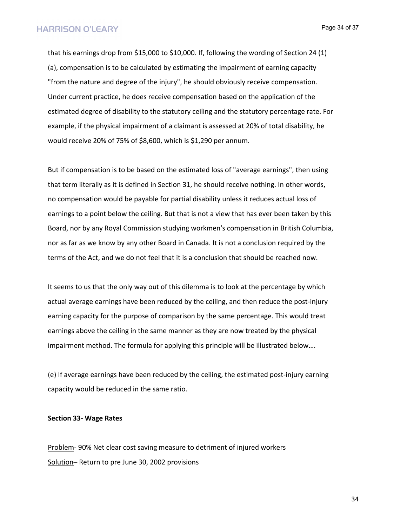Page 34 of 37

that his earnings drop from \$15,000 to \$10,000. If, following the wording of Section 24 (1) (a), compensation is to be calculated by estimating the impairment of earning capacity "from the nature and degree of the injury", he should obviously receive compensation. Under current practice, he does receive compensation based on the application of the estimated degree of disability to the statutory ceiling and the statutory percentage rate. For example, if the physical impairment of a claimant is assessed at 20% of total disability, he would receive 20% of 75% of \$8,600, which is \$1,290 per annum.

But if compensation is to be based on the estimated loss of "average earnings", then using that term literally as it is defined in Section 31, he should receive nothing. In other words, no compensation would be payable for partial disability unless it reduces actual loss of earnings to a point below the ceiling. But that is not a view that has ever been taken by this Board, nor by any Royal Commission studying workmen's compensation in British Columbia, nor as far as we know by any other Board in Canada. It is not a conclusion required by the terms of the Act, and we do not feel that it is a conclusion that should be reached now.

It seems to us that the only way out of this dilemma is to look at the percentage by which actual average earnings have been reduced by the ceiling, and then reduce the post-injury earning capacity for the purpose of comparison by the same percentage. This would treat earnings above the ceiling in the same manner as they are now treated by the physical impairment method. The formula for applying this principle will be illustrated below….

(e) If average earnings have been reduced by the ceiling, the estimated post-injury earning capacity would be reduced in the same ratio.

#### **Section 33- Wage Rates**

Problem- 90% Net clear cost saving measure to detriment of injured workers Solution– Return to pre June 30, 2002 provisions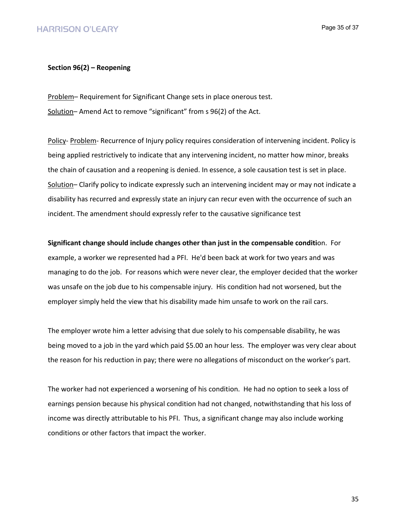#### **Section 96(2) – Reopening**

Problem– Requirement for Significant Change sets in place onerous test. Solution-Amend Act to remove "significant" from s 96(2) of the Act.

Policy- Problem- Recurrence of Injury policy requires consideration of intervening incident. Policy is being applied restrictively to indicate that any intervening incident, no matter how minor, breaks the chain of causation and a reopening is denied. In essence, a sole causation test is set in place. Solution– Clarify policy to indicate expressly such an intervening incident may or may not indicate a disability has recurred and expressly state an injury can recur even with the occurrence of such an incident. The amendment should expressly refer to the causative significance test

**Significant change should include changes other than just in the compensable conditi**on. For example, a worker we represented had a PFI. He'd been back at work for two years and was managing to do the job. For reasons which were never clear, the employer decided that the worker was unsafe on the job due to his compensable injury. His condition had not worsened, but the employer simply held the view that his disability made him unsafe to work on the rail cars.

The employer wrote him a letter advising that due solely to his compensable disability, he was being moved to a job in the yard which paid \$5.00 an hour less. The employer was very clear about the reason for his reduction in pay; there were no allegations of misconduct on the worker's part.

The worker had not experienced a worsening of his condition. He had no option to seek a loss of earnings pension because his physical condition had not changed, notwithstanding that his loss of income was directly attributable to his PFI. Thus, a significant change may also include working conditions or other factors that impact the worker.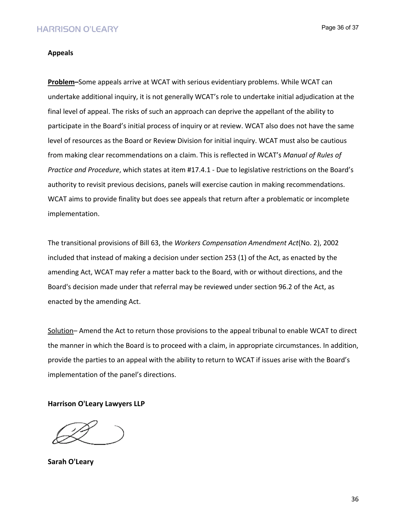## **HARRISON O'LEARY**

Page 36 of 37

#### **Appeals**

**Problem–**Some appeals arrive at WCAT with serious evidentiary problems. While WCAT can undertake additional inquiry, it is not generally WCAT's role to undertake initial adjudication at the final level of appeal. The risks of such an approach can deprive the appellant of the ability to participate in the Board's initial process of inquiry or at review. WCAT also does not have the same level of resources as the Board or Review Division for initial inquiry. WCAT must also be cautious from making clear recommendations on a claim. This is reflected in WCAT's *Manual of Rules of Practice and Procedure*, which states at item #17.4.1 - Due to legislative restrictions on the Board's authority to revisit previous decisions, panels will exercise caution in making recommendations. WCAT aims to provide finality but does see appeals that return after a problematic or incomplete implementation.

The transitional provisions of Bill 63, the *Workers Compensation Amendment Act*(No. 2), 2002 included that instead of making a decision under section 253 (1) of the Act, as enacted by the amending Act, WCAT may refer a matter back to the Board, with or without directions, and the Board's decision made under that referral may be reviewed under section 96.2 of the Act, as enacted by the amending Act.

Solution– Amend the Act to return those provisions to the appeal tribunal to enable WCAT to direct the manner in which the Board is to proceed with a claim, in appropriate circumstances. In addition, provide the parties to an appeal with the ability to return to WCAT if issues arise with the Board's implementation of the panel's directions.

**Harrison O'Leary Lawyers LLP**

**Sarah O'Leary**